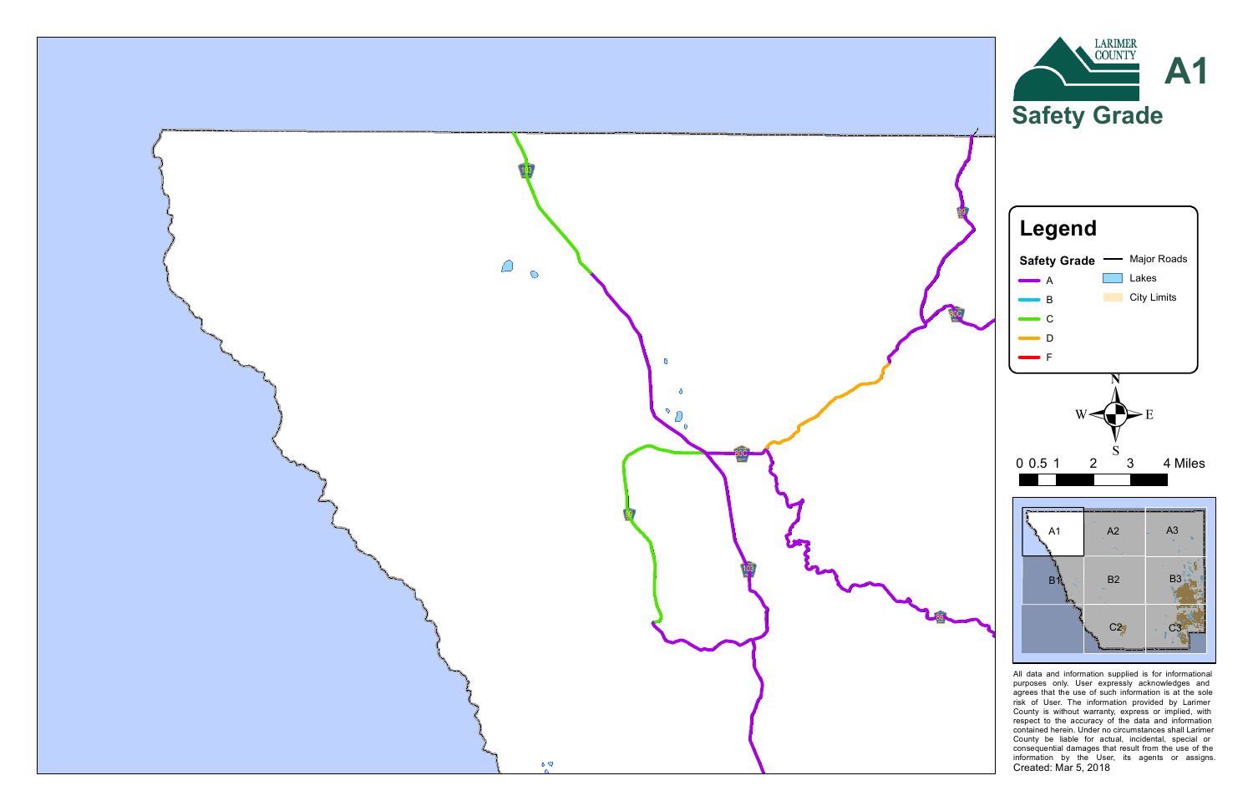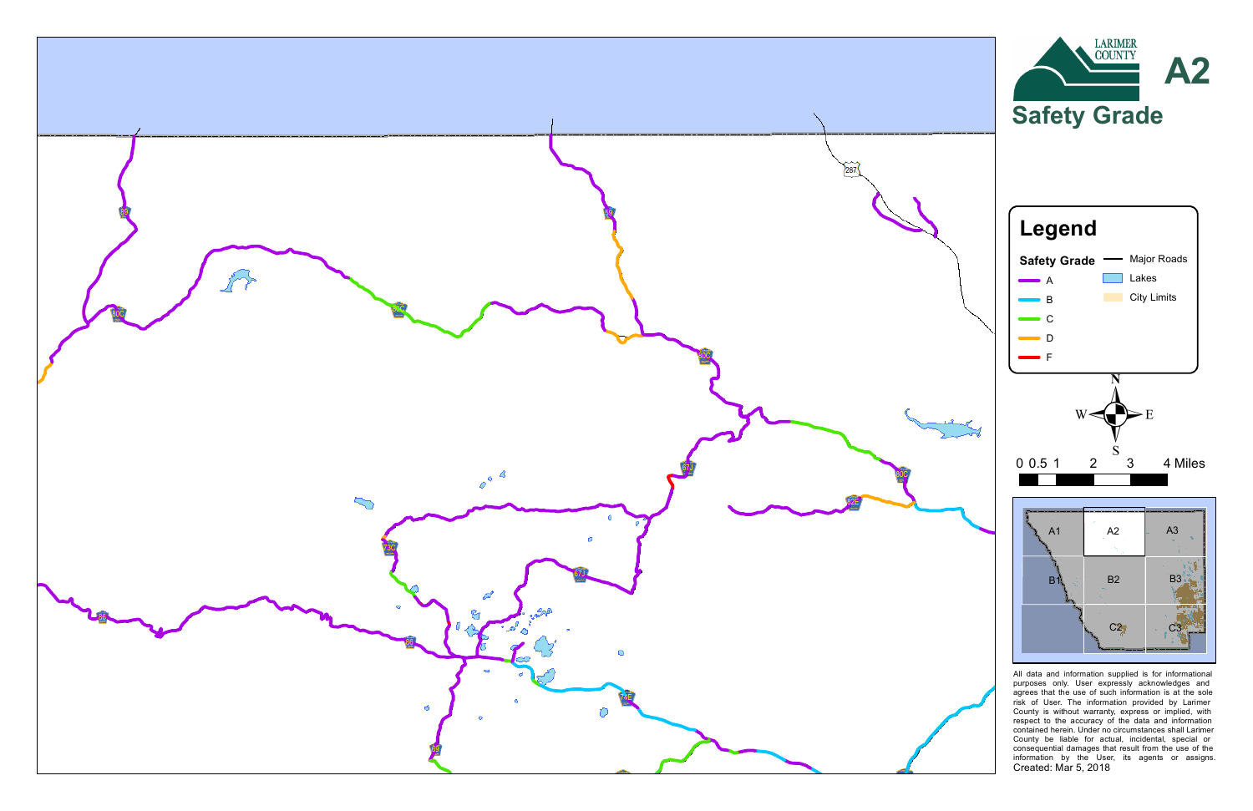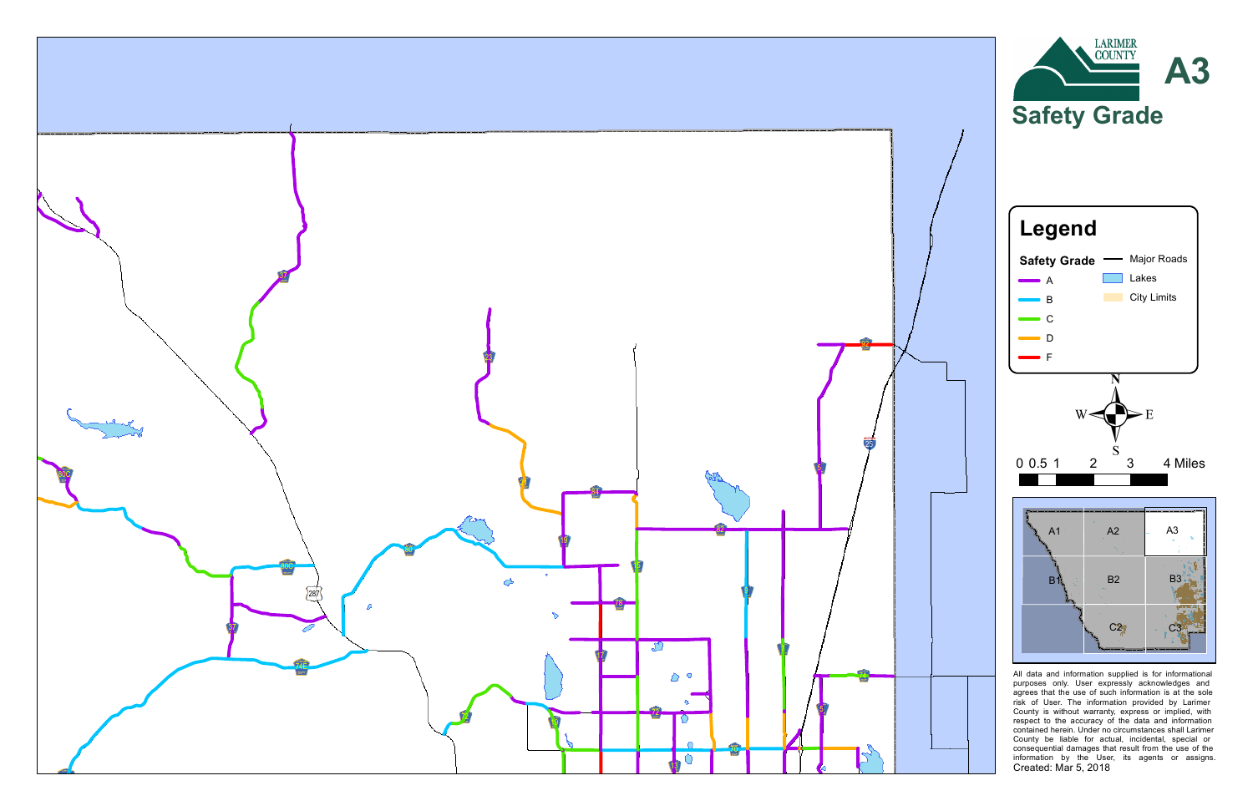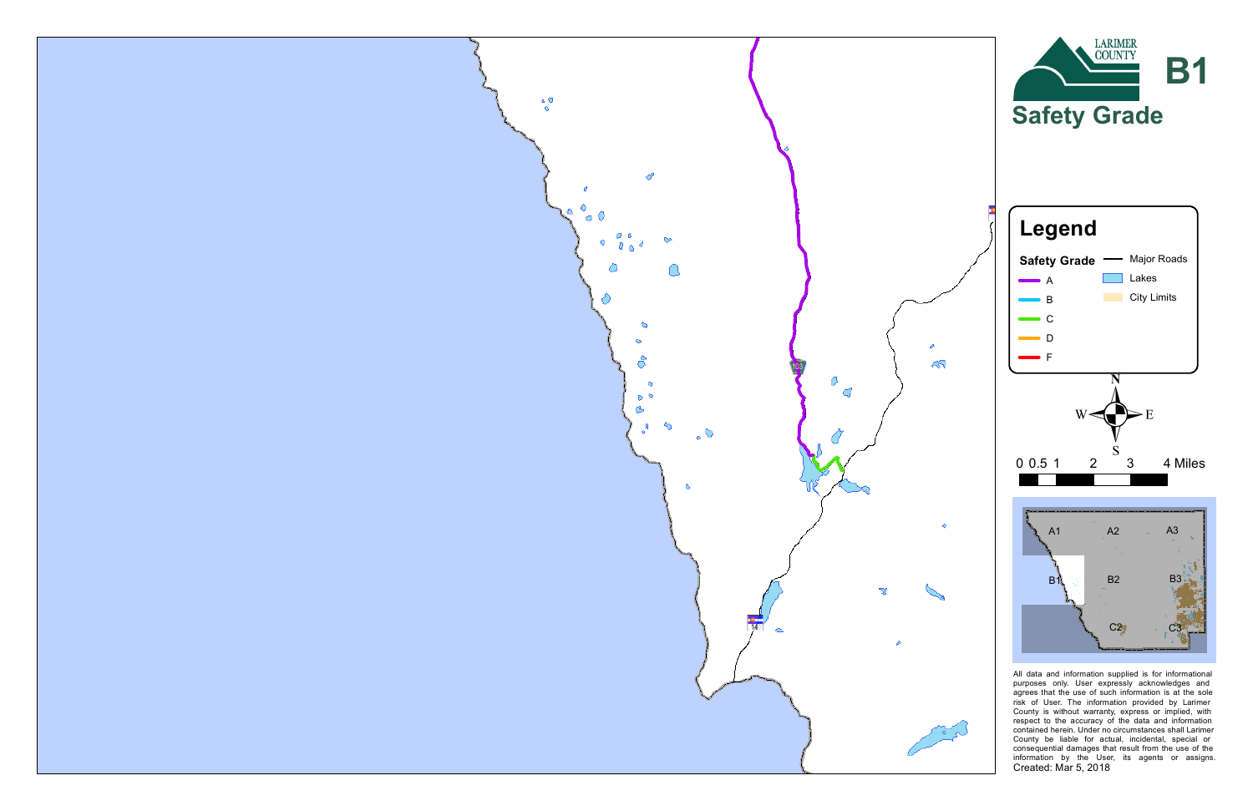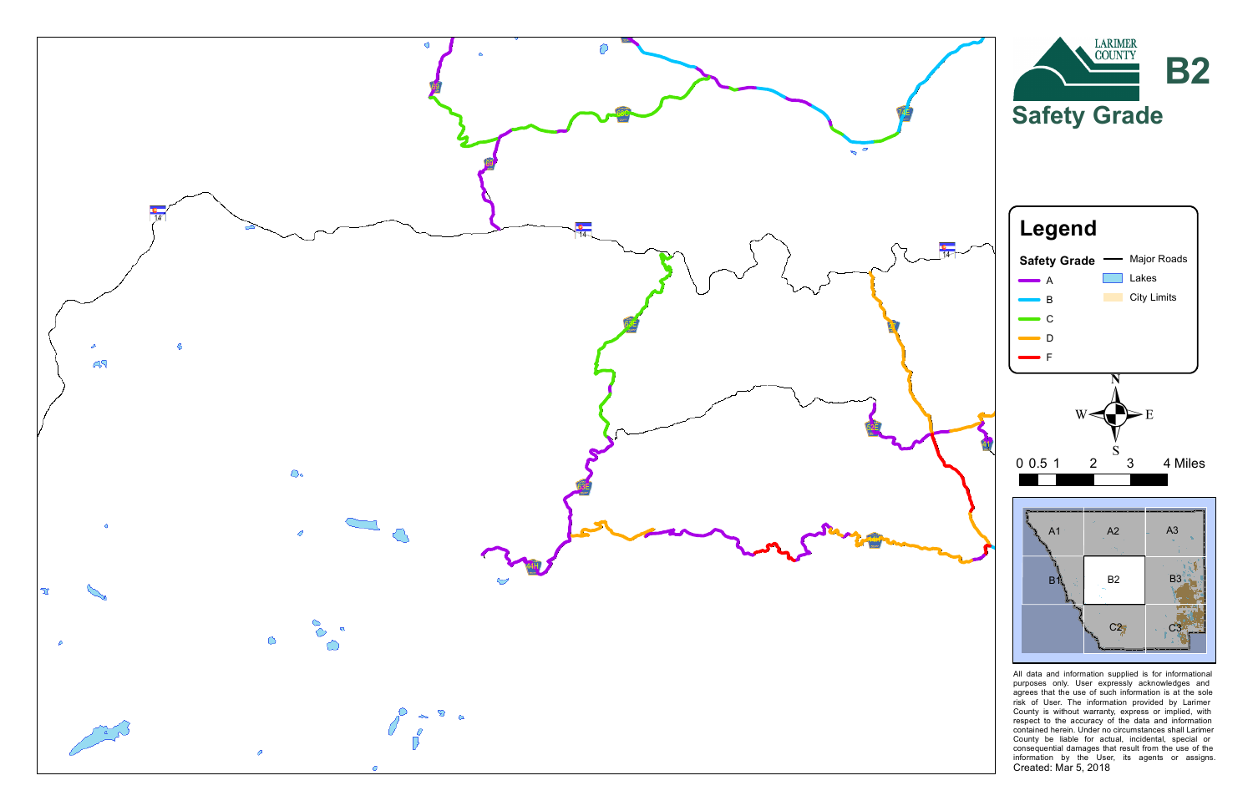![](_page_4_Figure_0.jpeg)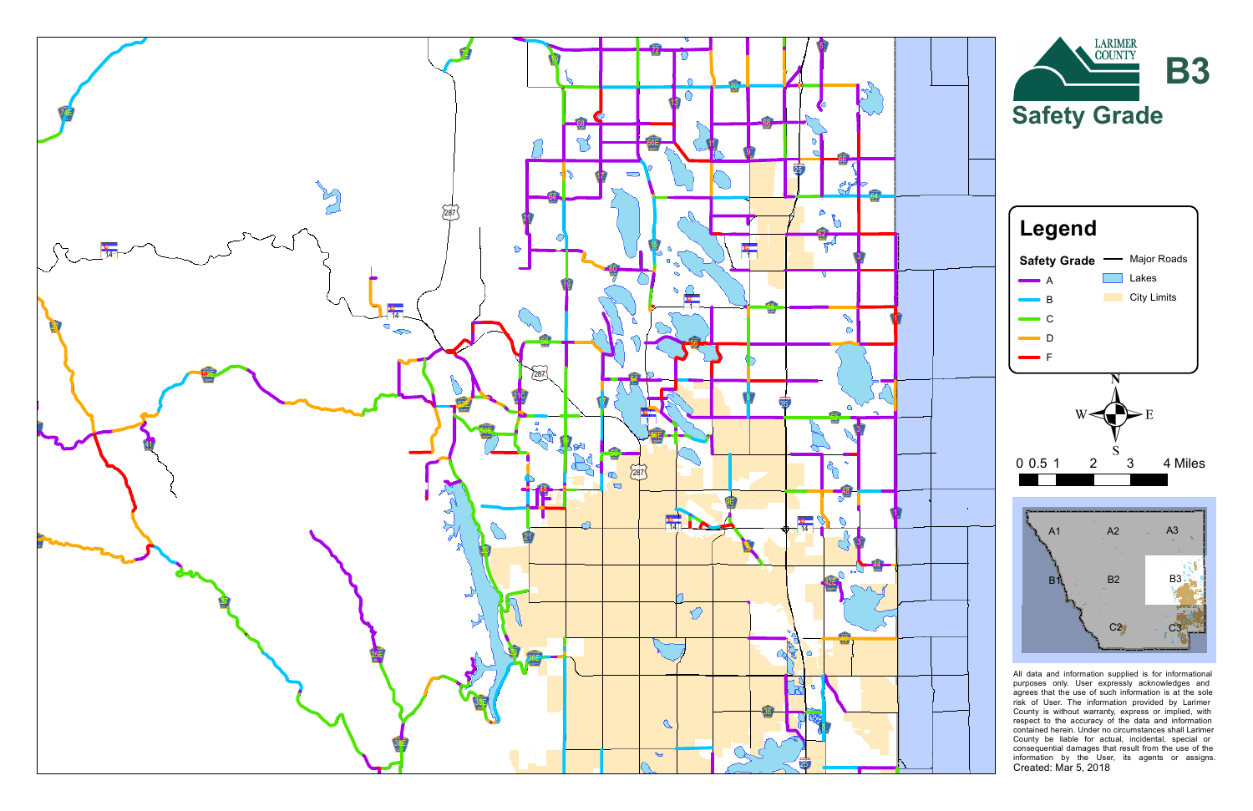![](_page_5_Figure_0.jpeg)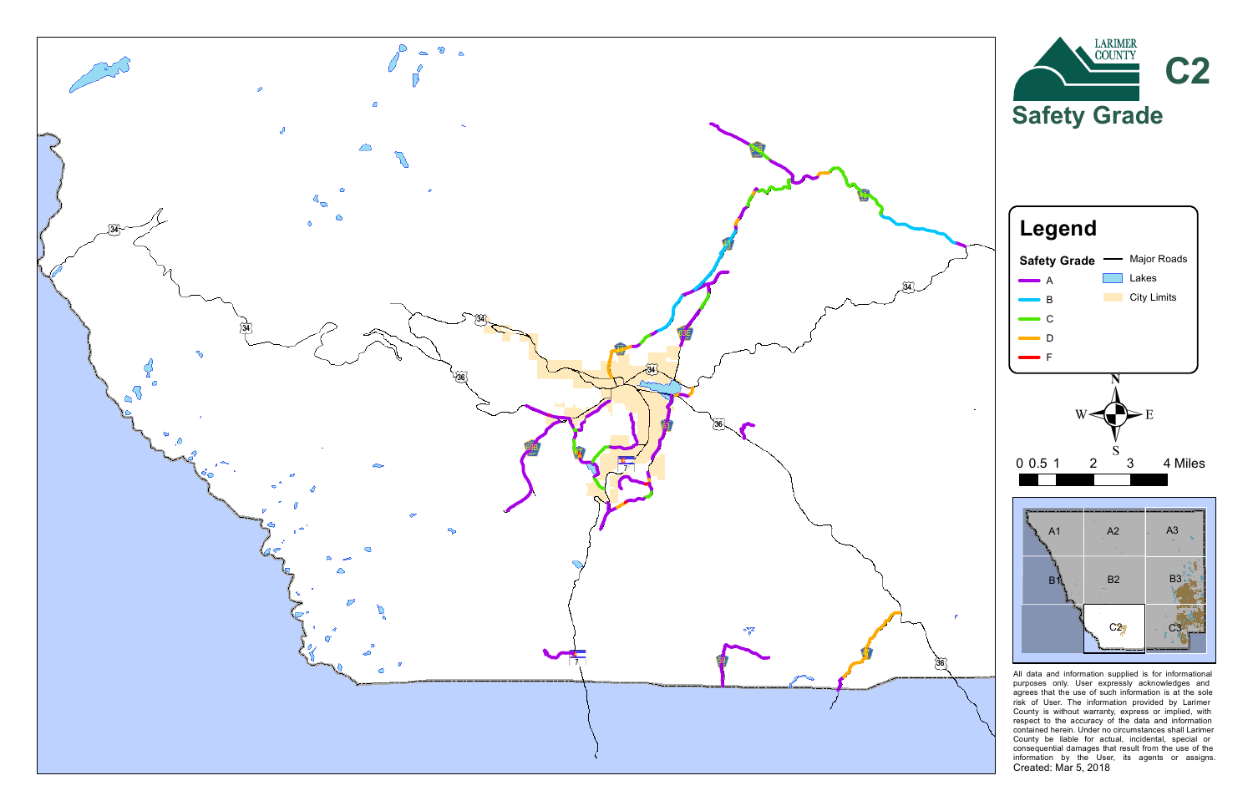![](_page_6_Figure_0.jpeg)